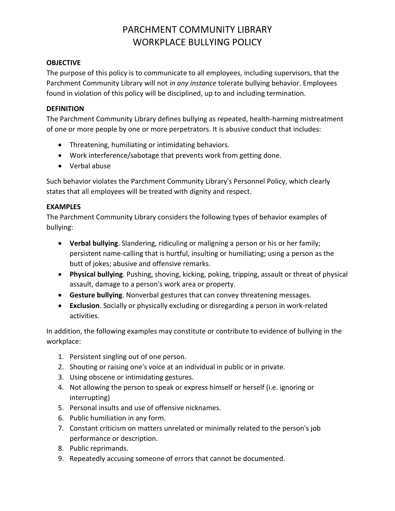# PARCHMENT COMMUNITY LIBRARY WORKPLACE BULLYING POLICY

### **OBJECTIVE**

The purpose of this policy is to communicate to all employees, including supervisors, that the Parchment Community Library will not *in any instance* tolerate bullying behavior. Employees found in violation of this policy will be disciplined, up to and including termination.

#### **DEFINITION**

The Parchment Community Library defines bullying as repeated, health-harming mistreatment of one or more people by one or more perpetrators. It is abusive conduct that includes:

- Threatening, humiliating or intimidating behaviors.
- Work interference/sabotage that prevents work from getting done.
- Verbal abuse

Such behavior violates the Parchment Community Library's Personnel Policy, which clearly states that all employees will be treated with dignity and respect.

#### **EXAMPLES**

The Parchment Community Library considers the following types of behavior examples of bullying:

- **Verbal bullying**. Slandering, ridiculing or maligning a person or his or her family; persistent name-calling that is hurtful, insulting or humiliating; using a person as the butt of jokes; abusive and offensive remarks.
- **Physical bullying**. Pushing, shoving, kicking, poking, tripping, assault or threat of physical assault, damage to a person's work area or property.
- **Gesture bullying**. Nonverbal gestures that can convey threatening messages.
- **Exclusion**. Socially or physically excluding or disregarding a person in work-related activities.

In addition, the following examples may constitute or contribute to evidence of bullying in the workplace:

- 1. Persistent singling out of one person.
- 2. Shouting or raising one's voice at an individual in public or in private.
- 3. Using obscene or intimidating gestures.
- 4. Not allowing the person to speak or express himself or herself (i.e. ignoring or interrupting)
- 5. Personal insults and use of offensive nicknames.
- 6. Public humiliation in any form.
- 7. Constant criticism on matters unrelated or minimally related to the person's job performance or description.
- 8. Public reprimands.
- 9. Repeatedly accusing someone of errors that cannot be documented.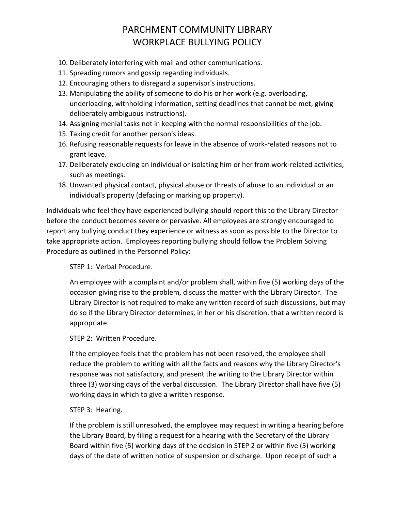# PARCHMENT COMMUNITY LIBRARY WORKPLACE BULLYING POLICY

- 10. Deliberately interfering with mail and other communications.
- 11. Spreading rumors and gossip regarding individuals.
- 12. Encouraging others to disregard a supervisor's instructions.
- 13. Manipulating the ability of someone to do his or her work (e.g. overloading, underloading, withholding information, setting deadlines that cannot be met, giving deliberately ambiguous instructions).
- 14. Assigning menial tasks not in keeping with the normal responsibilities of the job.
- 15. Taking credit for another person's ideas.
- 16. Refusing reasonable requests for leave in the absence of work-related reasons not to grant leave.
- 17. Deliberately excluding an individual or isolating him or her from work-related activities, such as meetings.
- 18. Unwanted physical contact, physical abuse or threats of abuse to an individual or an individual's property (defacing or marking up property).

Individuals who feel they have experienced bullying should report this to the Library Director before the conduct becomes severe or pervasive. All employees are strongly encouraged to report any bullying conduct they experience or witness as soon as possible to the Director to take appropriate action. Employees reporting bullying should follow the Problem Solving Procedure as outlined in the Personnel Policy:

STEP 1: Verbal Procedure.

An employee with a complaint and/or problem shall, within five (5) working days of the occasion giving rise to the problem, discuss the matter with the Library Director. The Library Director is not required to make any written record of such discussions, but may do so if the Library Director determines, in her or his discretion, that a written record is appropriate.

### STEP 2: Written Procedure.

If the employee feels that the problem has not been resolved, the employee shall reduce the problem to writing with all the facts and reasons why the Library Director's response was not satisfactory, and present the writing to the Library Director within three (3) working days of the verbal discussion. The Library Director shall have five (5) working days in which to give a written response.

### STEP 3: Hearing.

If the problem is still unresolved, the employee may request in writing a hearing before the Library Board, by filing a request for a hearing with the Secretary of the Library Board within five (5) working days of the decision in STEP 2 or within five (5) working days of the date of written notice of suspension or discharge. Upon receipt of such a